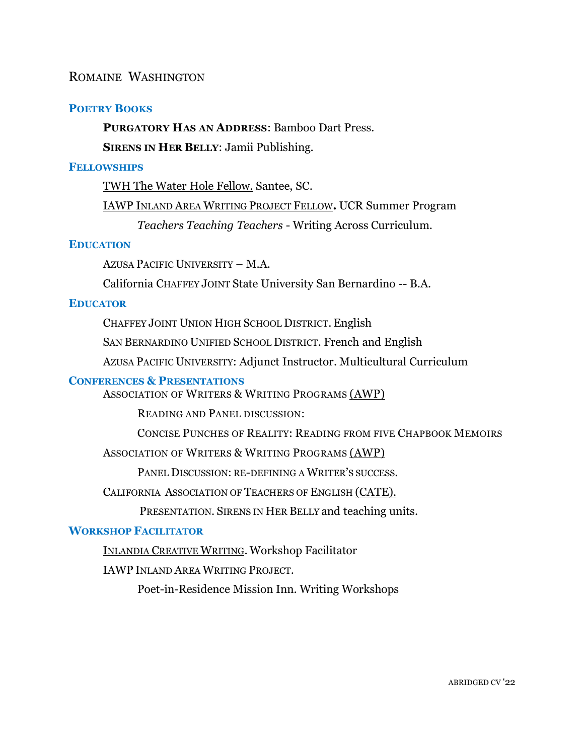## ROMAINE WASHINGTON

## **POETRY BOOKS**

## **PURGATORY HAS AN ADDRESS**: Bamboo Dart Press.

**SIRENS IN HER BELLY**: Jamii Publishing.

### **FELLOWSHIPS**

TWH The Water Hole [Fellow.](https://twhpoetry.org/about/) Santee, SC.

[IAWP](https://iawp.ucr.edu/) INLAND AREA WRITING PROJECT FELLOW**.** UCR Summer Program *Teachers Teaching Teachers* - Writing Across Curriculum.

### **EDUCATION**

AZUSA PACIFIC UNIVERSITY – M.A.

California CHAFFEY JOINT State University San Bernardino -- B.A.

#### **EDUCATOR**

CHAFFEY JOINT UNION HIGH SCHOOL DISTRICT. English

SAN BERNARDINO UNIFIED SCHOOL DISTRICT. French and English

AZUSA PACIFIC UNIVERSITY: Adjunct Instructor. Multicultural Curriculum

#### **CONFERENCES & PRESENTATIONS**

ASSOCIATION OF WRITERS & WRITING PROGRAMS [\(AWP\)](https://www.awpwriter.org/)

READING AND PANEL DISCUSSION:

CONCISE PUNCHES OF REALITY: READING FROM FIVE CHAPBOOK MEMOIRS

### ASSOCIATION OF WRITERS & WRITING PROGRAMS [\(AWP\)](https://www.awpwriter.org/)

PANEL DISCUSSION: RE-DEFINING A WRITER'S SUCCESS.

CALIFORNIA ASSOCIATION OF TEACHERS OF ENGLISH [\(CATE\).](https://www.cateweb.org/)

PRESENTATION. SIRENS IN HER BELLY and teaching units.

# **WORKSHOP FACILITATOR**

I[NLANDIA](https://inlandiainstitute.org/) CREATIVE WRITING. Workshop Facilitator

IAWP INLAND AREA WRITING PROJECT.

Poet-in-Residence Mission Inn. Writing Workshops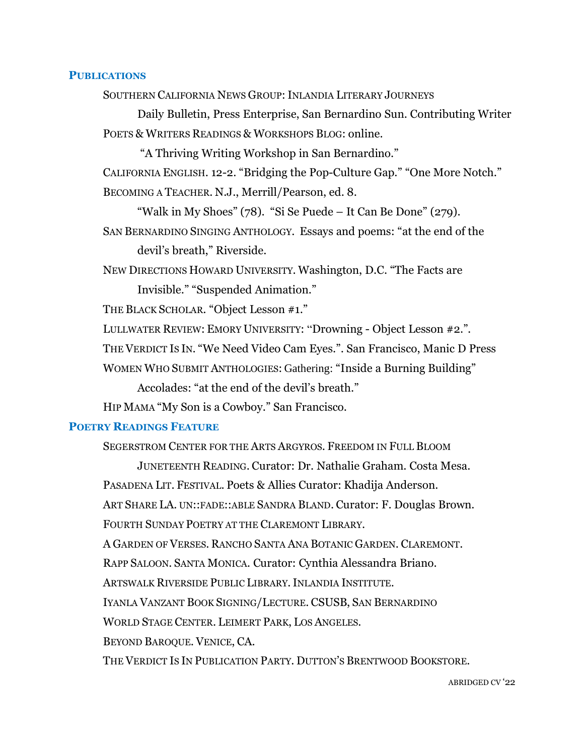### **PUBLICATIONS**

SOUTHERN CALIFORNIA NEWS GROUP: INLANDIA LITERARY JOURNEYS

Daily Bulletin, Press Enterprise, San Bernardino Sun. Contributing Writer POETS & WRITERS READINGS & WORKSHOPS BLOG: online.

"A Thriving Writing Workshop in San Bernardino." CALIFORNIA ENGLISH. 12-2. "Bridging the Pop-Culture Gap." "One More Notch." BECOMING A TEACHER. N.J., Merrill/Pearson, ed. 8.

"Walk in My Shoes" (78). "Si Se Puede – It Can Be Done" (279). SAN BERNARDINO SINGING ANTHOLOGY. Essays and poems: "at the end of the

devil's breath," Riverside.

NEW DIRECTIONS HOWARD UNIVERSITY. Washington, D.C. "The Facts are Invisible." "Suspended Animation."

THE BLACK SCHOLAR*.* "Object Lesson #1."

LULLWATER REVIEW: EMORY UNIVERSITY: "Drowning - Object Lesson #2."*.*

THE VERDICT IS IN. "We Need Video Cam Eyes.". San Francisco, Manic D Press

WOMEN WHO SUBMIT ANTHOLOGIES: Gathering: "Inside a Burning Building"

Accolades: "at the end of the devil's breath."

HIP MAMA "My Son is a Cowboy." San Francisco.

## **POETRY READINGS FEATURE**

SEGERSTROM CENTER FOR THE ARTS ARGYROS. FREEDOM IN FULL BLOOM

JUNETEENTH READING. Curator: Dr. Nathalie Graham. Costa Mesa. PASADENA LIT. FESTIVAL. Poets & Allies Curator: Khadija Anderson. ART SHARE LA. UN::FADE::ABLE SANDRA BLAND. Curator: F. Douglas Brown. FOURTH SUNDAY POETRY AT THE CLAREMONT LIBRARY. A GARDEN OF VERSES. RANCHO SANTA ANA BOTANIC GARDEN. CLAREMONT. RAPP SALOON. SANTA MONICA*.* Curator: Cynthia Alessandra Briano. ARTSWALK RIVERSIDE PUBLIC LIBRARY.INLANDIA INSTITUTE. IYANLA VANZANT BOOK SIGNING/LECTURE. CSUSB, SAN BERNARDINO WORLD STAGE CENTER. LEIMERT PARK, LOS ANGELES. BEYOND BAROQUE. VENICE, CA. THE VERDICT IS IN PUBLICATION PARTY. DUTTON'S BRENTWOOD BOOKSTORE.